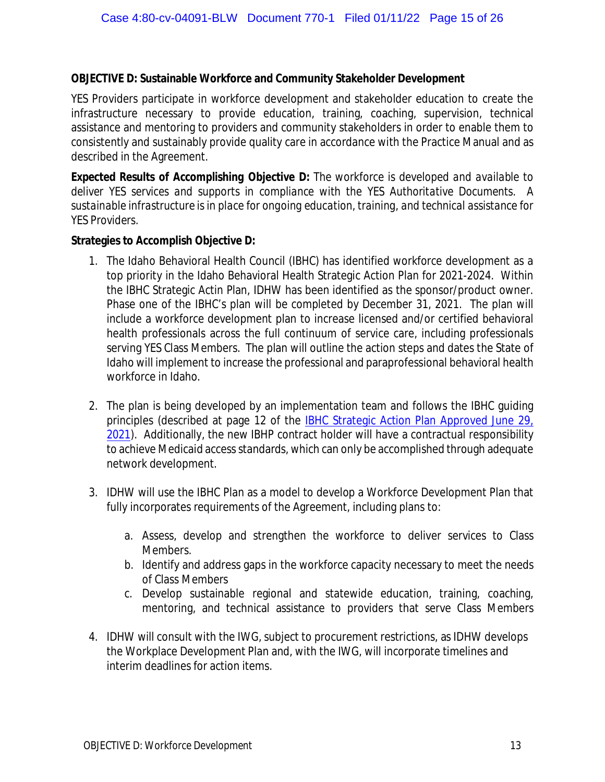## **OBJECTIVE D: Sustainable Workforce and Community Stakeholder Development**

YES Providers participate in workforce development and stakeholder education to create the infrastructure necessary to provide education, training, coaching, supervision, technical assistance and mentoring to providers and community stakeholders in order to enable them to consistently and sustainably provide quality care in accordance with the Practice Manual and as described in the Agreement.

*Expected Results of Accomplishing Objective D: The workforce is developed and available to deliver YES services and supports in compliance with the YES Authoritative Documents. A sustainable infrastructure is in place for ongoing education, training, and technical assistance for YES Providers.*

**Strategies to Accomplish Objective D:**

- 1. The Idaho Behavioral Health Council (IBHC) has identified workforce development as a top priority in the Idaho Behavioral Health Strategic Action Plan for 2021-2024. Within the IBHC Strategic Actin Plan, IDHW has been identified as the sponsor/product owner. Phase one of the IBHC's plan will be completed by December 31, 2021. The plan will include a workforce development plan to increase licensed and/or certified behavioral health professionals across the full continuum of service care, including professionals serving YES Class Members. The plan will outline the action steps and dates the State of Idaho will implement to increase the professional and paraprofessional behavioral health workforce in Idaho.
- 2. The plan is being developed by an implementation team and follows the IBHC guiding principles (described at page 12 of the [IBHC Strategic Action Plan Approved June 29,](https://publicdocuments.dhw.idaho.gov/WebLink/DocView.aspx?id=18953&dbid=0&repo=PUBLIC-DOCUMENTS&cr=1) [2021\)](https://publicdocuments.dhw.idaho.gov/WebLink/DocView.aspx?id=18953&dbid=0&repo=PUBLIC-DOCUMENTS&cr=1). Additionally, the new IBHP contract holder will have a contractual responsibility to achieve Medicaid access standards, which can only be accomplished through adequate network development.
- 3. IDHW will use the IBHC Plan as a model to develop a Workforce Development Plan that fully incorporates requirements of the Agreement, including plans to:
	- a. Assess, develop and strengthen the workforce to deliver services to Class Members.
	- b. Identify and address gaps in the workforce capacity necessary to meet the needs of Class Members
	- c. Develop sustainable regional and statewide education, training, coaching, mentoring, and technical assistance to providers that serve Class Members
- 4. IDHW will consult with the IWG, subject to procurement restrictions, as IDHW develops the Workplace Development Plan and, with the IWG, will incorporate timelines and interim deadlines for action items.